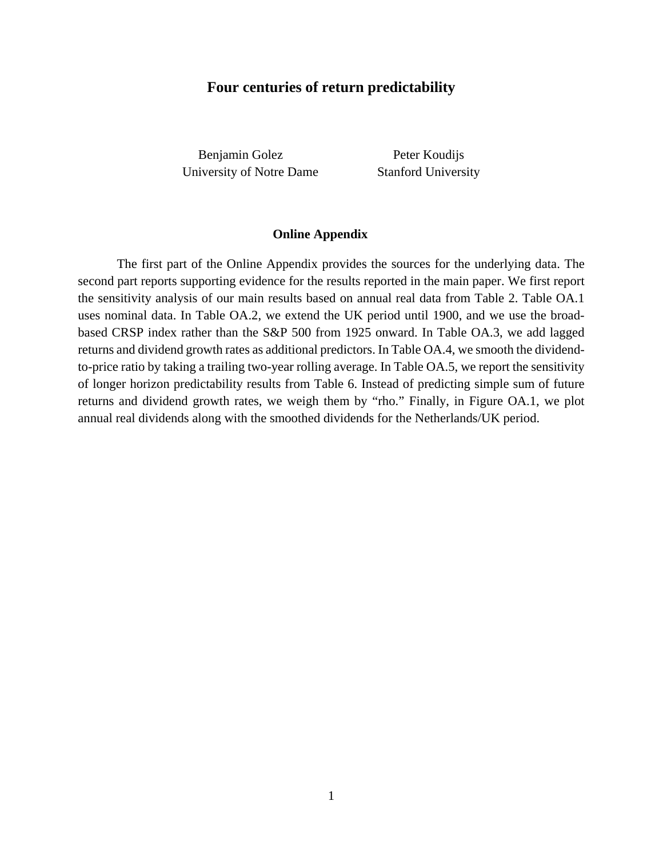# **Four centuries of return predictability**

Benjamin Golez Peter Koudijs University of Notre Dame Stanford University

## **Online Appendix**

The first part of the Online Appendix provides the sources for the underlying data. The second part reports supporting evidence for the results reported in the main paper. We first report the sensitivity analysis of our main results based on annual real data from Table 2. Table OA.1 uses nominal data. In Table OA.2, we extend the UK period until 1900, and we use the broadbased CRSP index rather than the S&P 500 from 1925 onward. In Table OA.3, we add lagged returns and dividend growth rates as additional predictors. In Table OA.4, we smooth the dividendto-price ratio by taking a trailing two-year rolling average. In Table OA.5, we report the sensitivity of longer horizon predictability results from Table 6. Instead of predicting simple sum of future returns and dividend growth rates, we weigh them by "rho." Finally, in Figure OA.1, we plot annual real dividends along with the smoothed dividends for the Netherlands/UK period.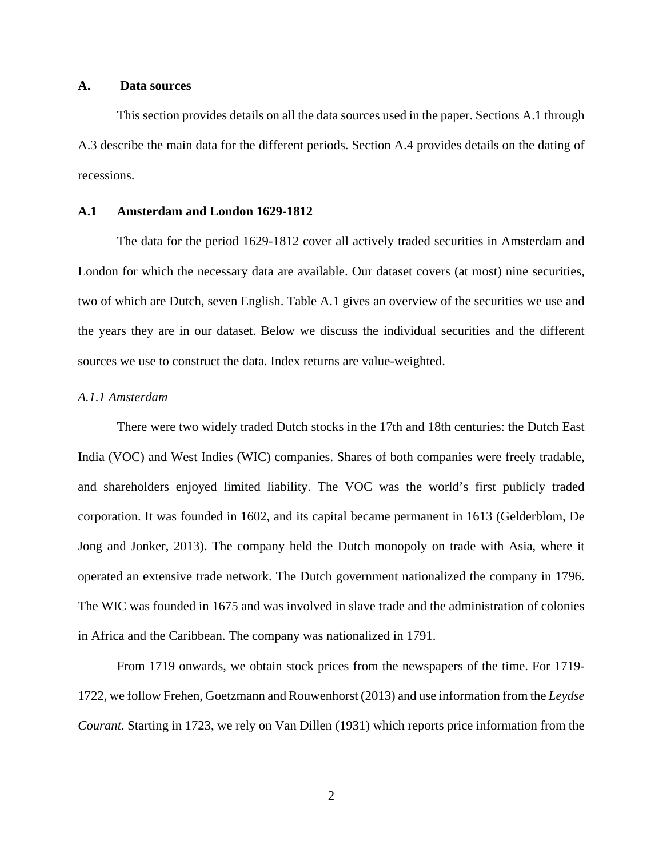## **A. Data sources**

 This section provides details on all the data sources used in the paper. Sections A.1 through A.3 describe the main data for the different periods. Section A.4 provides details on the dating of recessions.

## **A.1 Amsterdam and London 1629-1812**

The data for the period 1629-1812 cover all actively traded securities in Amsterdam and London for which the necessary data are available. Our dataset covers (at most) nine securities, two of which are Dutch, seven English. Table A.1 gives an overview of the securities we use and the years they are in our dataset. Below we discuss the individual securities and the different sources we use to construct the data. Index returns are value-weighted.

#### *A.1.1 Amsterdam*

There were two widely traded Dutch stocks in the 17th and 18th centuries: the Dutch East India (VOC) and West Indies (WIC) companies. Shares of both companies were freely tradable, and shareholders enjoyed limited liability. The VOC was the world's first publicly traded corporation. It was founded in 1602, and its capital became permanent in 1613 (Gelderblom, De Jong and Jonker, 2013). The company held the Dutch monopoly on trade with Asia, where it operated an extensive trade network. The Dutch government nationalized the company in 1796. The WIC was founded in 1675 and was involved in slave trade and the administration of colonies in Africa and the Caribbean. The company was nationalized in 1791.

 From 1719 onwards, we obtain stock prices from the newspapers of the time. For 1719- 1722, we follow Frehen, Goetzmann and Rouwenhorst (2013) and use information from the *Leydse Courant*. Starting in 1723, we rely on Van Dillen (1931) which reports price information from the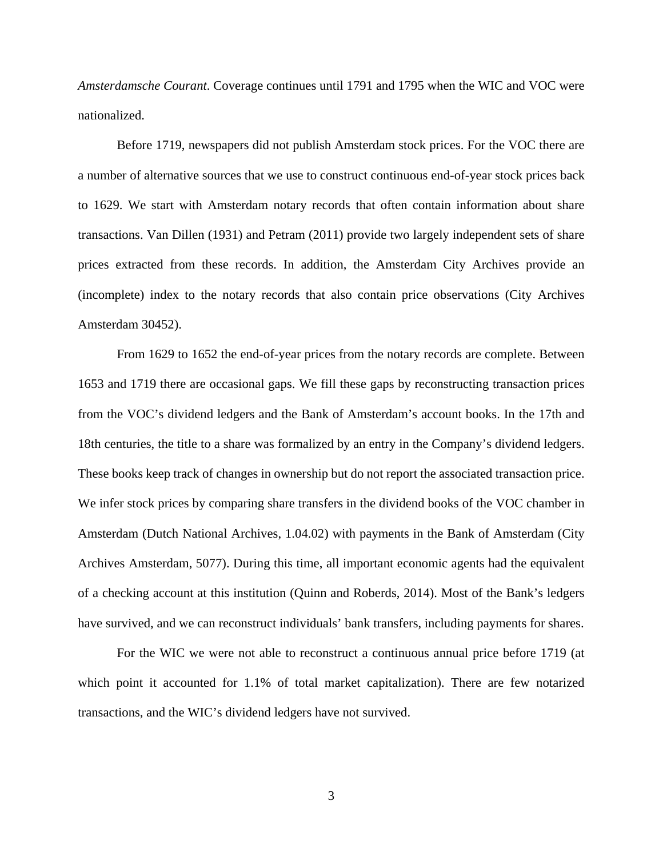*Amsterdamsche Courant*. Coverage continues until 1791 and 1795 when the WIC and VOC were nationalized.

Before 1719, newspapers did not publish Amsterdam stock prices. For the VOC there are a number of alternative sources that we use to construct continuous end-of-year stock prices back to 1629. We start with Amsterdam notary records that often contain information about share transactions. Van Dillen (1931) and Petram (2011) provide two largely independent sets of share prices extracted from these records. In addition, the Amsterdam City Archives provide an (incomplete) index to the notary records that also contain price observations (City Archives Amsterdam 30452).

 From 1629 to 1652 the end-of-year prices from the notary records are complete. Between 1653 and 1719 there are occasional gaps. We fill these gaps by reconstructing transaction prices from the VOC's dividend ledgers and the Bank of Amsterdam's account books. In the 17th and 18th centuries, the title to a share was formalized by an entry in the Company's dividend ledgers. These books keep track of changes in ownership but do not report the associated transaction price. We infer stock prices by comparing share transfers in the dividend books of the VOC chamber in Amsterdam (Dutch National Archives, 1.04.02) with payments in the Bank of Amsterdam (City Archives Amsterdam, 5077). During this time, all important economic agents had the equivalent of a checking account at this institution (Quinn and Roberds, 2014). Most of the Bank's ledgers have survived, and we can reconstruct individuals' bank transfers, including payments for shares.

For the WIC we were not able to reconstruct a continuous annual price before 1719 (at which point it accounted for 1.1% of total market capitalization). There are few notarized transactions, and the WIC's dividend ledgers have not survived.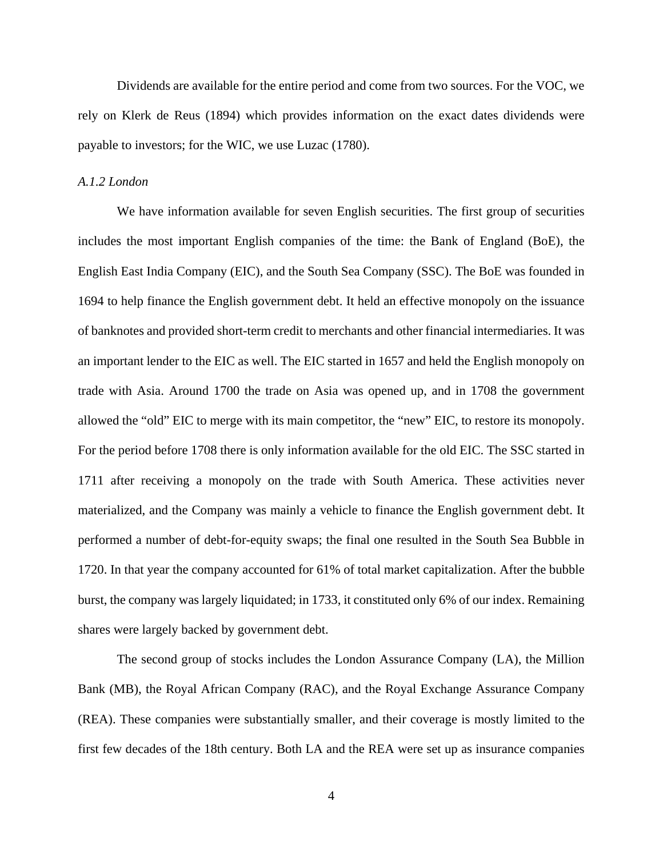Dividends are available for the entire period and come from two sources. For the VOC, we rely on Klerk de Reus (1894) which provides information on the exact dates dividends were payable to investors; for the WIC, we use Luzac (1780).

### *A.1.2 London*

We have information available for seven English securities. The first group of securities includes the most important English companies of the time: the Bank of England (BoE), the English East India Company (EIC), and the South Sea Company (SSC). The BoE was founded in 1694 to help finance the English government debt. It held an effective monopoly on the issuance of banknotes and provided short-term credit to merchants and other financial intermediaries. It was an important lender to the EIC as well. The EIC started in 1657 and held the English monopoly on trade with Asia. Around 1700 the trade on Asia was opened up, and in 1708 the government allowed the "old" EIC to merge with its main competitor, the "new" EIC, to restore its monopoly. For the period before 1708 there is only information available for the old EIC. The SSC started in 1711 after receiving a monopoly on the trade with South America. These activities never materialized, and the Company was mainly a vehicle to finance the English government debt. It performed a number of debt-for-equity swaps; the final one resulted in the South Sea Bubble in 1720. In that year the company accounted for 61% of total market capitalization. After the bubble burst, the company was largely liquidated; in 1733, it constituted only 6% of our index. Remaining shares were largely backed by government debt.

The second group of stocks includes the London Assurance Company (LA), the Million Bank (MB), the Royal African Company (RAC), and the Royal Exchange Assurance Company (REA). These companies were substantially smaller, and their coverage is mostly limited to the first few decades of the 18th century. Both LA and the REA were set up as insurance companies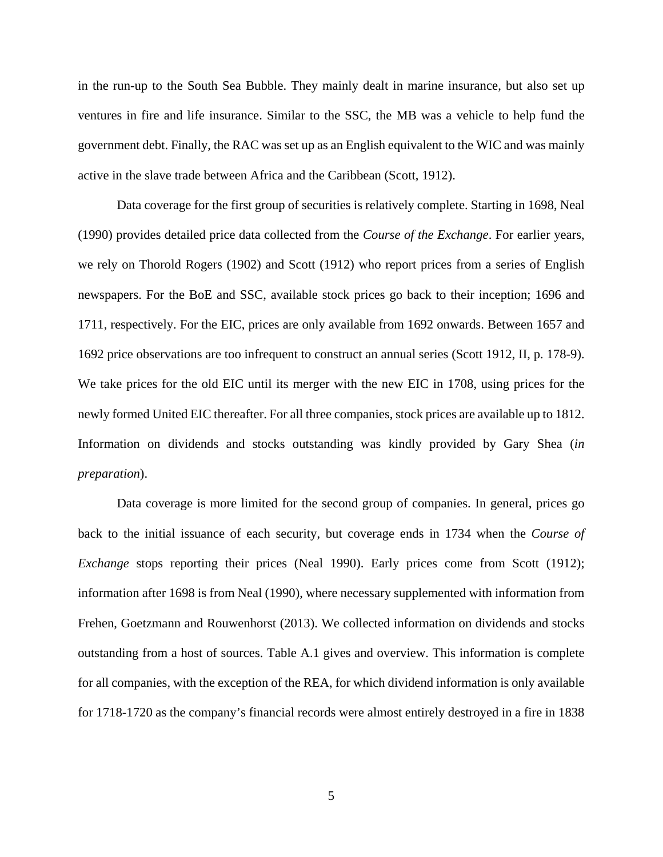in the run-up to the South Sea Bubble. They mainly dealt in marine insurance, but also set up ventures in fire and life insurance. Similar to the SSC, the MB was a vehicle to help fund the government debt. Finally, the RAC was set up as an English equivalent to the WIC and was mainly active in the slave trade between Africa and the Caribbean (Scott, 1912).

Data coverage for the first group of securities is relatively complete. Starting in 1698, Neal (1990) provides detailed price data collected from the *Course of the Exchange*. For earlier years, we rely on Thorold Rogers (1902) and Scott (1912) who report prices from a series of English newspapers. For the BoE and SSC, available stock prices go back to their inception; 1696 and 1711, respectively. For the EIC, prices are only available from 1692 onwards. Between 1657 and 1692 price observations are too infrequent to construct an annual series (Scott 1912, II, p. 178-9). We take prices for the old EIC until its merger with the new EIC in 1708, using prices for the newly formed United EIC thereafter. For all three companies, stock prices are available up to 1812. Information on dividends and stocks outstanding was kindly provided by Gary Shea (*in preparation*).

Data coverage is more limited for the second group of companies. In general, prices go back to the initial issuance of each security, but coverage ends in 1734 when the *Course of Exchange* stops reporting their prices (Neal 1990). Early prices come from Scott (1912); information after 1698 is from Neal (1990), where necessary supplemented with information from Frehen, Goetzmann and Rouwenhorst (2013). We collected information on dividends and stocks outstanding from a host of sources. Table A.1 gives and overview. This information is complete for all companies, with the exception of the REA, for which dividend information is only available for 1718-1720 as the company's financial records were almost entirely destroyed in a fire in 1838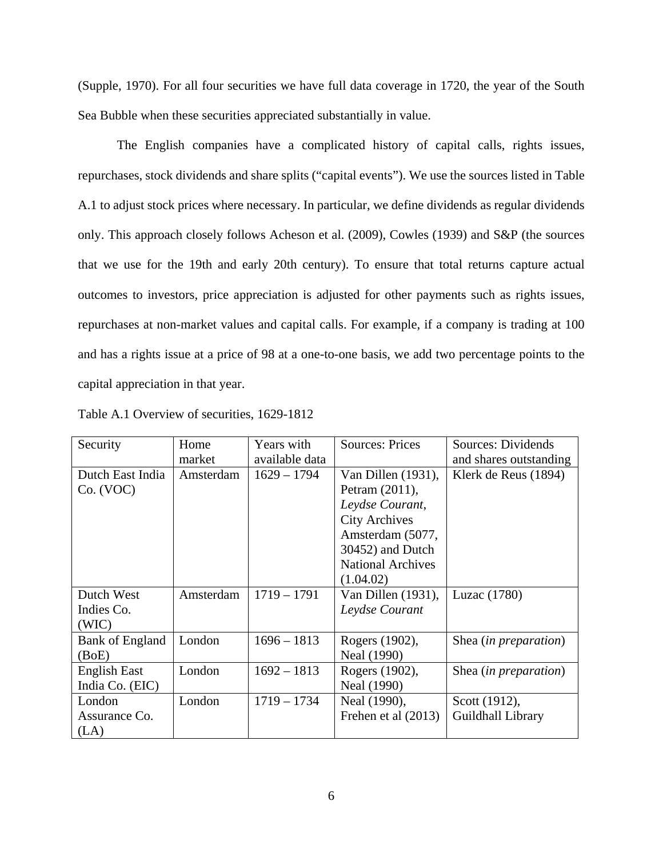(Supple, 1970). For all four securities we have full data coverage in 1720, the year of the South Sea Bubble when these securities appreciated substantially in value.

The English companies have a complicated history of capital calls, rights issues, repurchases, stock dividends and share splits ("capital events"). We use the sources listed in Table A.1 to adjust stock prices where necessary. In particular, we define dividends as regular dividends only. This approach closely follows Acheson et al. (2009), Cowles (1939) and S&P (the sources that we use for the 19th and early 20th century). To ensure that total returns capture actual outcomes to investors, price appreciation is adjusted for other payments such as rights issues, repurchases at non-market values and capital calls. For example, if a company is trading at 100 and has a rights issue at a price of 98 at a one-to-one basis, we add two percentage points to the capital appreciation in that year.

| Security               | Home      | Years with     | <b>Sources: Prices</b>   | Sources: Dividends             |
|------------------------|-----------|----------------|--------------------------|--------------------------------|
|                        | market    | available data |                          | and shares outstanding         |
| Dutch East India       | Amsterdam | $1629 - 1794$  | Van Dillen $(1931)$ ,    | Klerk de Reus (1894)           |
| Co. (VOC)              |           |                | Petram (2011),           |                                |
|                        |           |                | Leydse Courant,          |                                |
|                        |           |                | <b>City Archives</b>     |                                |
|                        |           |                | Amsterdam (5077,         |                                |
|                        |           |                | 30452) and Dutch         |                                |
|                        |           |                | <b>National Archives</b> |                                |
|                        |           |                | (1.04.02)                |                                |
| Dutch West             | Amsterdam | $1719 - 1791$  | Van Dillen (1931),       | Luzac (1780)                   |
| Indies Co.             |           |                | Leydse Courant           |                                |
| (WIC)                  |           |                |                          |                                |
| <b>Bank of England</b> | London    | $1696 - 1813$  | Rogers (1902),           | Shea ( <i>in preparation</i> ) |
| (BoE)                  |           |                | Neal (1990)              |                                |
| <b>English East</b>    | London    | $1692 - 1813$  | Rogers (1902),           | Shea ( <i>in preparation</i> ) |
| India Co. (EIC)        |           |                | Neal (1990)              |                                |
| London                 | London    | $1719 - 1734$  | Neal (1990),             | Scott (1912),                  |
| Assurance Co.          |           |                | Frehen et al (2013)      | Guildhall Library              |
| (LA)                   |           |                |                          |                                |

Table A.1 Overview of securities, 1629-1812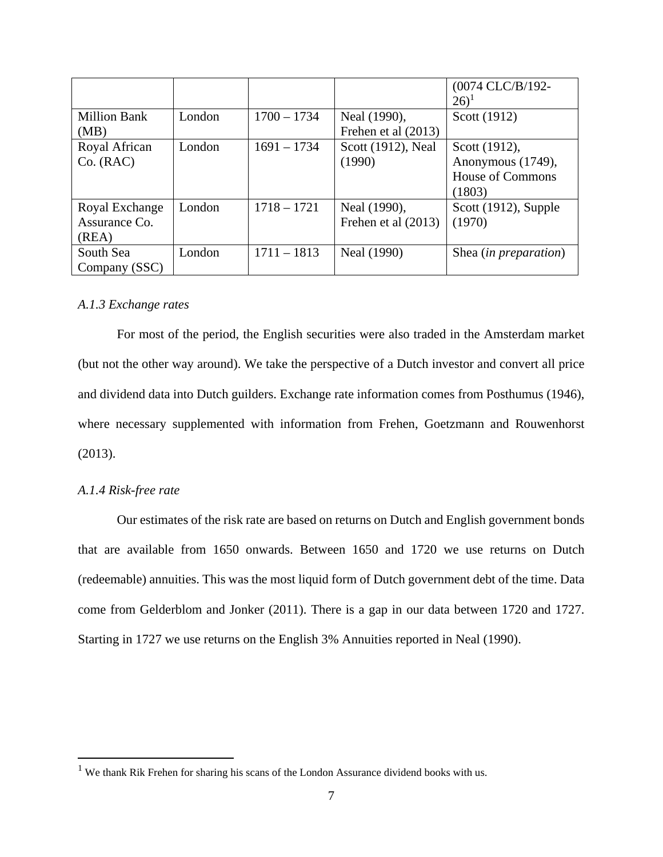|                     |        |               |                       | (0074 CLC/B/192-        |
|---------------------|--------|---------------|-----------------------|-------------------------|
|                     |        |               |                       | $(26)^1$                |
| <b>Million Bank</b> | London | $1700 - 1734$ | Neal (1990),          | Scott (1912)            |
| (MB)                |        |               | Frehen et al $(2013)$ |                         |
| Royal African       | London | $1691 - 1734$ | Scott (1912), Neal    | Scott (1912),           |
| Co. (RAC)           |        |               | (1990)                | Anonymous (1749),       |
|                     |        |               |                       | <b>House of Commons</b> |
|                     |        |               |                       | (1803)                  |
| Royal Exchange      | London | $1718 - 1721$ | Neal (1990),          | Scott (1912), Supple    |
| Assurance Co.       |        |               | Frehen et al $(2013)$ | (1970)                  |
| (REA)               |        |               |                       |                         |
| South Sea           | London | $1711 - 1813$ | Neal (1990)           | Shea (in preparation)   |
| Company (SSC)       |        |               |                       |                         |

## *A.1.3 Exchange rates*

For most of the period, the English securities were also traded in the Amsterdam market (but not the other way around). We take the perspective of a Dutch investor and convert all price and dividend data into Dutch guilders. Exchange rate information comes from Posthumus (1946), where necessary supplemented with information from Frehen, Goetzmann and Rouwenhorst (2013).

## *A.1.4 Risk-free rate*

 $\overline{a}$ 

Our estimates of the risk rate are based on returns on Dutch and English government bonds that are available from 1650 onwards. Between 1650 and 1720 we use returns on Dutch (redeemable) annuities. This was the most liquid form of Dutch government debt of the time. Data come from Gelderblom and Jonker (2011). There is a gap in our data between 1720 and 1727. Starting in 1727 we use returns on the English 3% Annuities reported in Neal (1990).

<sup>&</sup>lt;sup>1</sup> We thank Rik Frehen for sharing his scans of the London Assurance dividend books with us.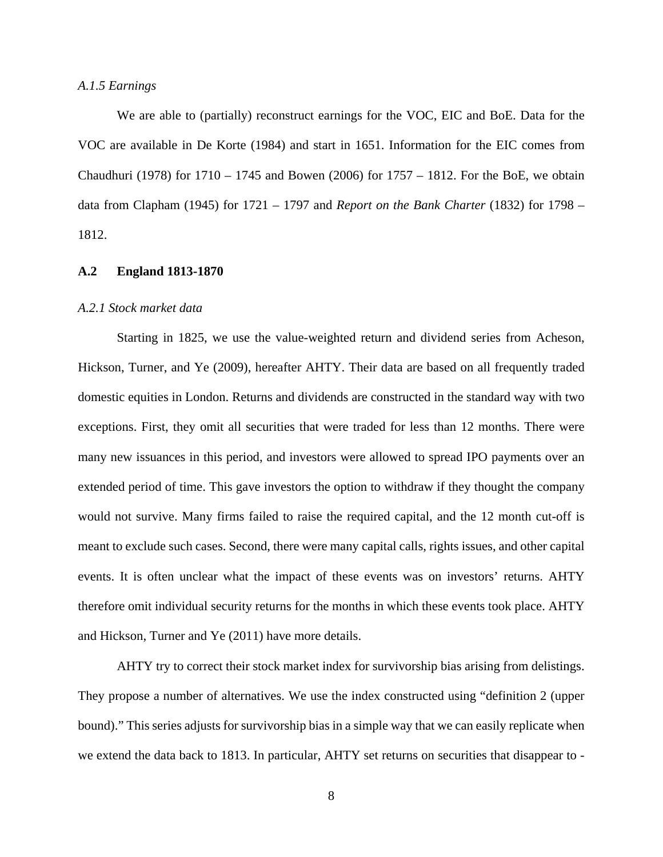#### *A.1.5 Earnings*

We are able to (partially) reconstruct earnings for the VOC, EIC and BoE. Data for the VOC are available in De Korte (1984) and start in 1651. Information for the EIC comes from Chaudhuri (1978) for 1710 – 1745 and Bowen (2006) for 1757 – 1812. For the BoE, we obtain data from Clapham (1945) for 1721 – 1797 and *Report on the Bank Charter* (1832) for 1798 – 1812.

#### **A.2 England 1813-1870**

#### *A.2.1 Stock market data*

Starting in 1825, we use the value-weighted return and dividend series from Acheson, Hickson, Turner, and Ye (2009), hereafter AHTY. Their data are based on all frequently traded domestic equities in London. Returns and dividends are constructed in the standard way with two exceptions. First, they omit all securities that were traded for less than 12 months. There were many new issuances in this period, and investors were allowed to spread IPO payments over an extended period of time. This gave investors the option to withdraw if they thought the company would not survive. Many firms failed to raise the required capital, and the 12 month cut-off is meant to exclude such cases. Second, there were many capital calls, rights issues, and other capital events. It is often unclear what the impact of these events was on investors' returns. AHTY therefore omit individual security returns for the months in which these events took place. AHTY and Hickson, Turner and Ye (2011) have more details.

AHTY try to correct their stock market index for survivorship bias arising from delistings. They propose a number of alternatives. We use the index constructed using "definition 2 (upper bound)." This series adjusts for survivorship bias in a simple way that we can easily replicate when we extend the data back to 1813. In particular, AHTY set returns on securities that disappear to -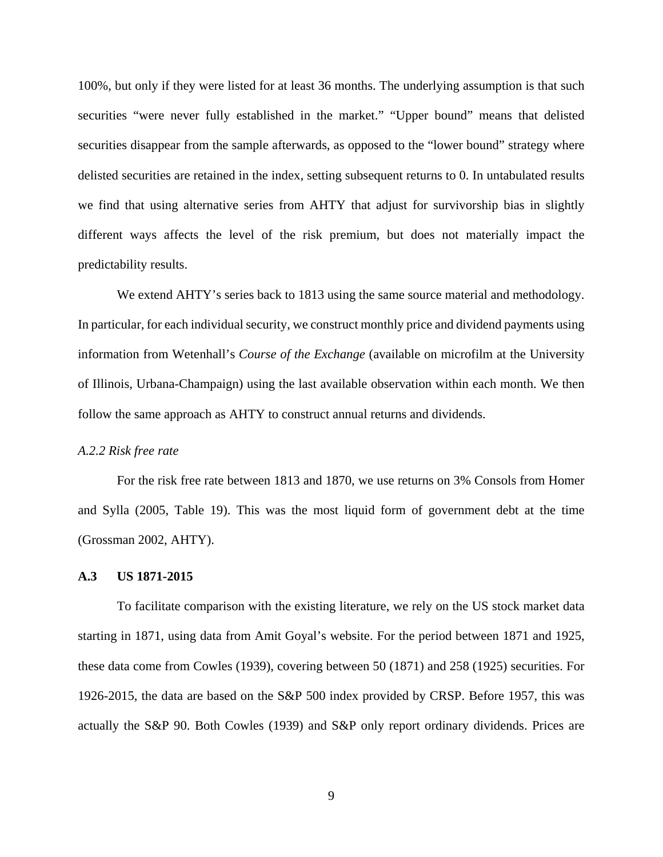100%, but only if they were listed for at least 36 months. The underlying assumption is that such securities "were never fully established in the market." "Upper bound" means that delisted securities disappear from the sample afterwards, as opposed to the "lower bound" strategy where delisted securities are retained in the index, setting subsequent returns to 0. In untabulated results we find that using alternative series from AHTY that adjust for survivorship bias in slightly different ways affects the level of the risk premium, but does not materially impact the predictability results.

We extend AHTY's series back to 1813 using the same source material and methodology. In particular, for each individual security, we construct monthly price and dividend payments using information from Wetenhall's *Course of the Exchange* (available on microfilm at the University of Illinois, Urbana-Champaign) using the last available observation within each month. We then follow the same approach as AHTY to construct annual returns and dividends.

#### *A.2.2 Risk free rate*

 For the risk free rate between 1813 and 1870, we use returns on 3% Consols from Homer and Sylla (2005, Table 19). This was the most liquid form of government debt at the time (Grossman 2002, AHTY).

### **A.3 US 1871-2015**

To facilitate comparison with the existing literature, we rely on the US stock market data starting in 1871, using data from Amit Goyal's website. For the period between 1871 and 1925, these data come from Cowles (1939), covering between 50 (1871) and 258 (1925) securities. For 1926-2015, the data are based on the S&P 500 index provided by CRSP. Before 1957, this was actually the S&P 90. Both Cowles (1939) and S&P only report ordinary dividends. Prices are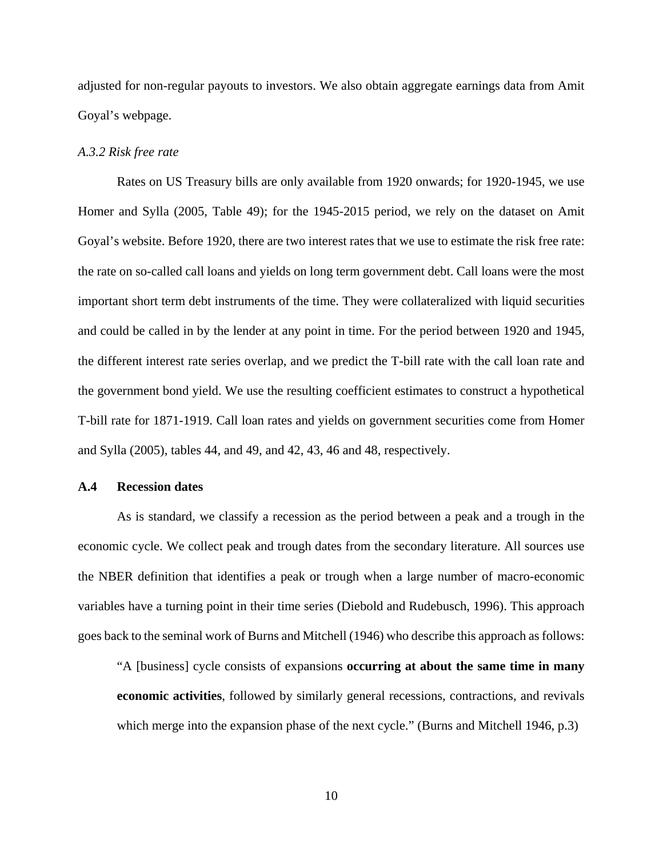adjusted for non-regular payouts to investors. We also obtain aggregate earnings data from Amit Goyal's webpage.

#### *A.3.2 Risk free rate*

Rates on US Treasury bills are only available from 1920 onwards; for 1920-1945, we use Homer and Sylla (2005, Table 49); for the 1945-2015 period, we rely on the dataset on Amit Goyal's website. Before 1920, there are two interest rates that we use to estimate the risk free rate: the rate on so-called call loans and yields on long term government debt. Call loans were the most important short term debt instruments of the time. They were collateralized with liquid securities and could be called in by the lender at any point in time. For the period between 1920 and 1945, the different interest rate series overlap, and we predict the T-bill rate with the call loan rate and the government bond yield. We use the resulting coefficient estimates to construct a hypothetical T-bill rate for 1871-1919. Call loan rates and yields on government securities come from Homer and Sylla (2005), tables 44, and 49, and 42, 43, 46 and 48, respectively.

### **A.4 Recession dates**

As is standard, we classify a recession as the period between a peak and a trough in the economic cycle. We collect peak and trough dates from the secondary literature. All sources use the NBER definition that identifies a peak or trough when a large number of macro-economic variables have a turning point in their time series (Diebold and Rudebusch, 1996). This approach goes back to the seminal work of Burns and Mitchell (1946) who describe this approach as follows:

"A [business] cycle consists of expansions **occurring at about the same time in many economic activities**, followed by similarly general recessions, contractions, and revivals which merge into the expansion phase of the next cycle." (Burns and Mitchell 1946, p.3)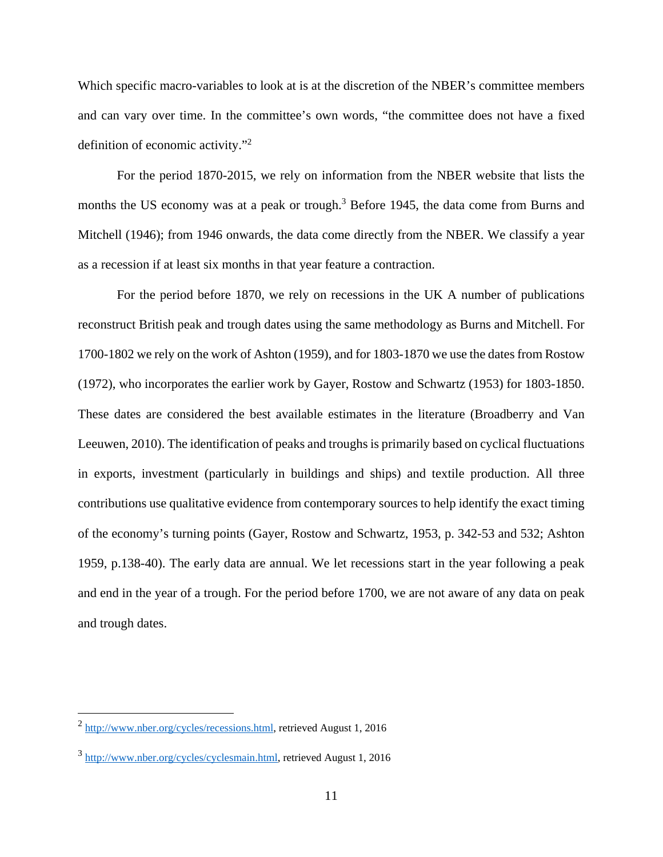Which specific macro-variables to look at is at the discretion of the NBER's committee members and can vary over time. In the committee's own words, "the committee does not have a fixed definition of economic activity."2

For the period 1870-2015, we rely on information from the NBER website that lists the months the US economy was at a peak or trough.<sup>3</sup> Before 1945, the data come from Burns and Mitchell (1946); from 1946 onwards, the data come directly from the NBER. We classify a year as a recession if at least six months in that year feature a contraction.

For the period before 1870, we rely on recessions in the UK A number of publications reconstruct British peak and trough dates using the same methodology as Burns and Mitchell. For 1700-1802 we rely on the work of Ashton (1959), and for 1803-1870 we use the dates from Rostow (1972), who incorporates the earlier work by Gayer, Rostow and Schwartz (1953) for 1803-1850. These dates are considered the best available estimates in the literature (Broadberry and Van Leeuwen, 2010). The identification of peaks and troughs is primarily based on cyclical fluctuations in exports, investment (particularly in buildings and ships) and textile production. All three contributions use qualitative evidence from contemporary sources to help identify the exact timing of the economy's turning points (Gayer, Rostow and Schwartz, 1953, p. 342-53 and 532; Ashton 1959, p.138-40). The early data are annual. We let recessions start in the year following a peak and end in the year of a trough. For the period before 1700, we are not aware of any data on peak and trough dates.

1

<sup>2</sup> http://www.nber.org/cycles/recessions.html, retrieved August 1, 2016

<sup>3</sup> http://www.nber.org/cycles/cyclesmain.html, retrieved August 1, 2016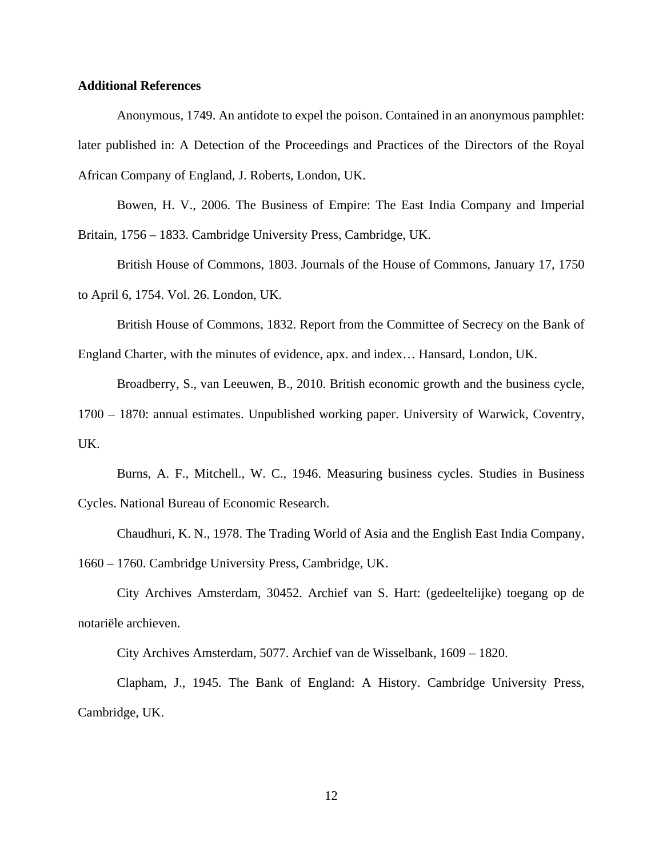### **Additional References**

Anonymous, 1749. An antidote to expel the poison. Contained in an anonymous pamphlet: later published in: A Detection of the Proceedings and Practices of the Directors of the Royal African Company of England, J. Roberts, London, UK.

Bowen, H. V., 2006. The Business of Empire: The East India Company and Imperial Britain, 1756 – 1833. Cambridge University Press, Cambridge, UK.

British House of Commons, 1803. Journals of the House of Commons, January 17, 1750 to April 6, 1754. Vol. 26. London, UK.

British House of Commons, 1832. Report from the Committee of Secrecy on the Bank of

England Charter, with the minutes of evidence, apx. and index… Hansard, London, UK.

Broadberry, S., van Leeuwen, B., 2010. British economic growth and the business cycle,

1700 – 1870: annual estimates. Unpublished working paper. University of Warwick, Coventry, UK.

Burns, A. F., Mitchell., W. C., 1946. Measuring business cycles. Studies in Business Cycles. National Bureau of Economic Research.

Chaudhuri, K. N., 1978. The Trading World of Asia and the English East India Company, 1660 – 1760. Cambridge University Press, Cambridge, UK.

 City Archives Amsterdam, 30452. Archief van S. Hart: (gedeeltelijke) toegang op de notariële archieven.

City Archives Amsterdam, 5077. Archief van de Wisselbank, 1609 – 1820.

 Clapham, J., 1945. The Bank of England: A History. Cambridge University Press, Cambridge, UK.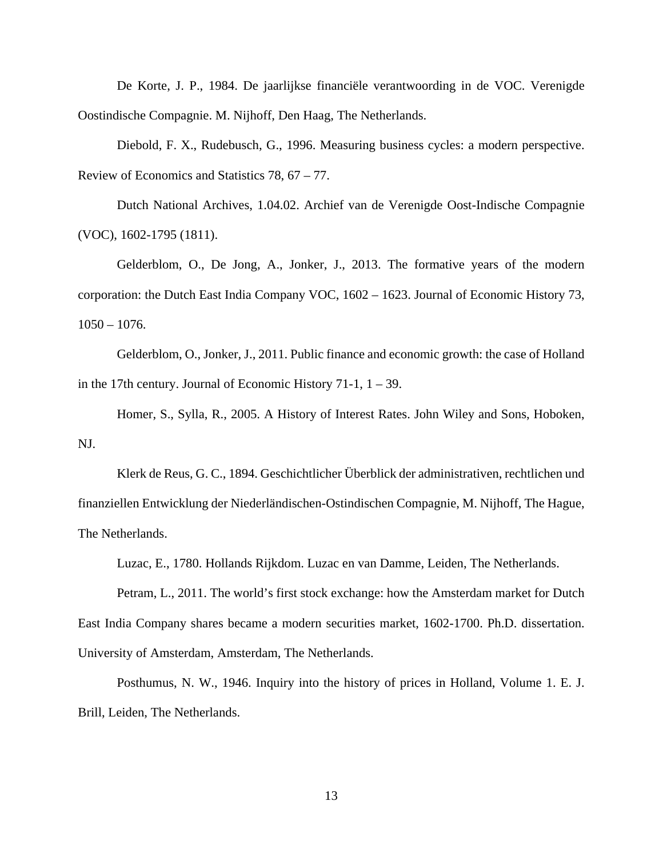De Korte, J. P., 1984. De jaarlijkse financiële verantwoording in de VOC. Verenigde Oostindische Compagnie. M. Nijhoff, Den Haag, The Netherlands.

Diebold, F. X., Rudebusch, G., 1996. Measuring business cycles: a modern perspective. Review of Economics and Statistics 78, 67 – 77.

 Dutch National Archives, 1.04.02. Archief van de Verenigde Oost-Indische Compagnie (VOC), 1602-1795 (1811).

Gelderblom, O., De Jong, A., Jonker, J., 2013. The formative years of the modern corporation: the Dutch East India Company VOC, 1602 – 1623. Journal of Economic History 73,  $1050 - 1076$ .

Gelderblom, O., Jonker, J., 2011. Public finance and economic growth: the case of Holland in the 17th century. Journal of Economic History 71-1,  $1 - 39$ .

Homer, S., Sylla, R., 2005. A History of Interest Rates. John Wiley and Sons, Hoboken, NJ.

 Klerk de Reus, G. C., 1894. Geschichtlicher Überblick der administrativen, rechtlichen und finanziellen Entwicklung der Niederländischen-Ostindischen Compagnie, M. Nijhoff, The Hague, The Netherlands.

Luzac, E., 1780. Hollands Rijkdom. Luzac en van Damme, Leiden, The Netherlands.

 Petram, L., 2011. The world's first stock exchange: how the Amsterdam market for Dutch East India Company shares became a modern securities market, 1602-1700. Ph.D. dissertation. University of Amsterdam, Amsterdam, The Netherlands.

 Posthumus, N. W., 1946. Inquiry into the history of prices in Holland, Volume 1. E. J. Brill, Leiden, The Netherlands.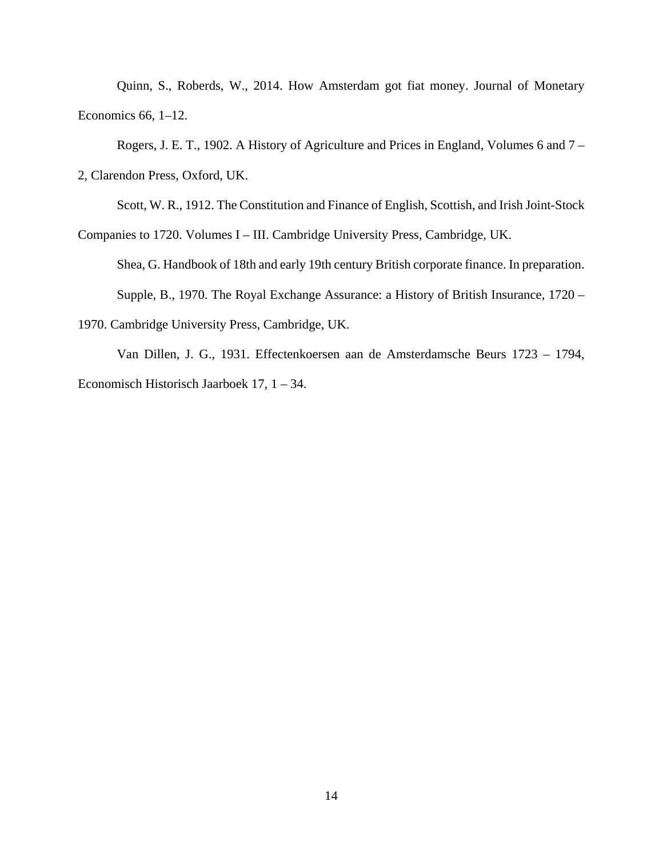Quinn, S., Roberds, W., 2014. How Amsterdam got fiat money. Journal of Monetary Economics 66, 1–12.

Rogers, J. E. T., 1902. A History of Agriculture and Prices in England, Volumes 6 and 7 –

2, Clarendon Press, Oxford, UK.

Scott, W. R., 1912. The Constitution and Finance of English, Scottish, and Irish Joint-Stock

Companies to 1720. Volumes I – III. Cambridge University Press, Cambridge, UK.

Shea, G. Handbook of 18th and early 19th century British corporate finance. In preparation.

Supple, B., 1970. The Royal Exchange Assurance: a History of British Insurance, 1720 –

1970. Cambridge University Press, Cambridge, UK.

 Van Dillen, J. G., 1931. Effectenkoersen aan de Amsterdamsche Beurs 1723 – 1794, Economisch Historisch Jaarboek 17, 1 – 34.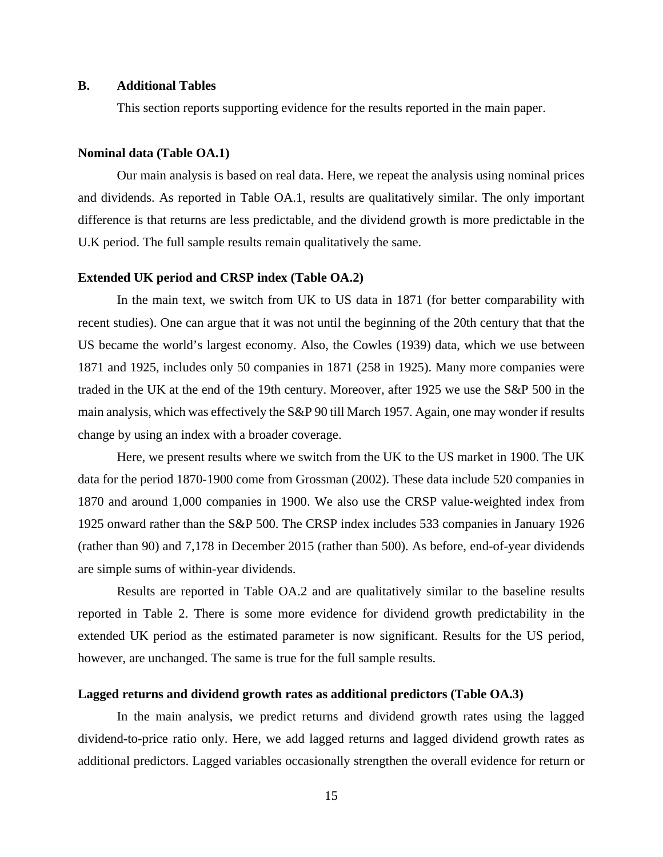### **B. Additional Tables**

This section reports supporting evidence for the results reported in the main paper.

## **Nominal data (Table OA.1)**

 Our main analysis is based on real data. Here, we repeat the analysis using nominal prices and dividends. As reported in Table OA.1, results are qualitatively similar. The only important difference is that returns are less predictable, and the dividend growth is more predictable in the U.K period. The full sample results remain qualitatively the same.

#### **Extended UK period and CRSP index (Table OA.2)**

 In the main text, we switch from UK to US data in 1871 (for better comparability with recent studies). One can argue that it was not until the beginning of the 20th century that that the US became the world's largest economy. Also, the Cowles (1939) data, which we use between 1871 and 1925, includes only 50 companies in 1871 (258 in 1925). Many more companies were traded in the UK at the end of the 19th century. Moreover, after 1925 we use the S&P 500 in the main analysis, which was effectively the S&P 90 till March 1957. Again, one may wonder if results change by using an index with a broader coverage.

Here, we present results where we switch from the UK to the US market in 1900. The UK data for the period 1870-1900 come from Grossman (2002). These data include 520 companies in 1870 and around 1,000 companies in 1900. We also use the CRSP value-weighted index from 1925 onward rather than the S&P 500. The CRSP index includes 533 companies in January 1926 (rather than 90) and 7,178 in December 2015 (rather than 500). As before, end-of-year dividends are simple sums of within-year dividends.

Results are reported in Table OA.2 and are qualitatively similar to the baseline results reported in Table 2. There is some more evidence for dividend growth predictability in the extended UK period as the estimated parameter is now significant. Results for the US period, however, are unchanged. The same is true for the full sample results.

#### **Lagged returns and dividend growth rates as additional predictors (Table OA.3)**

In the main analysis, we predict returns and dividend growth rates using the lagged dividend-to-price ratio only. Here, we add lagged returns and lagged dividend growth rates as additional predictors. Lagged variables occasionally strengthen the overall evidence for return or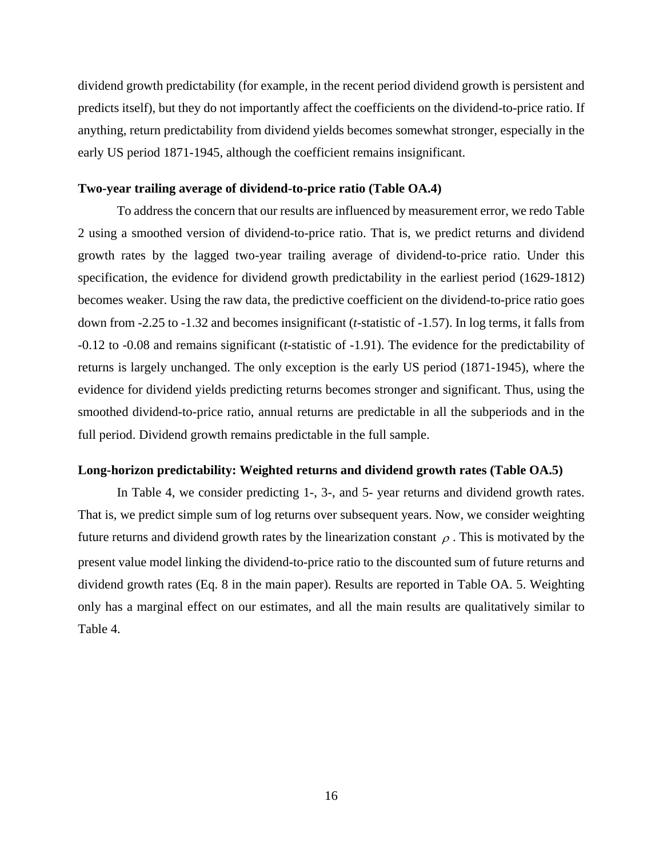dividend growth predictability (for example, in the recent period dividend growth is persistent and predicts itself), but they do not importantly affect the coefficients on the dividend-to-price ratio. If anything, return predictability from dividend yields becomes somewhat stronger, especially in the early US period 1871-1945, although the coefficient remains insignificant.

### **Two-year trailing average of dividend-to-price ratio (Table OA.4)**

 To address the concern that our results are influenced by measurement error, we redo Table 2 using a smoothed version of dividend-to-price ratio. That is, we predict returns and dividend growth rates by the lagged two-year trailing average of dividend-to-price ratio. Under this specification, the evidence for dividend growth predictability in the earliest period (1629-1812) becomes weaker. Using the raw data, the predictive coefficient on the dividend-to-price ratio goes down from -2.25 to -1.32 and becomes insignificant (*t*-statistic of -1.57). In log terms, it falls from -0.12 to -0.08 and remains significant (*t*-statistic of -1.91). The evidence for the predictability of returns is largely unchanged. The only exception is the early US period (1871-1945), where the evidence for dividend yields predicting returns becomes stronger and significant. Thus, using the smoothed dividend-to-price ratio, annual returns are predictable in all the subperiods and in the full period. Dividend growth remains predictable in the full sample.

## **Long-horizon predictability: Weighted returns and dividend growth rates (Table OA.5)**

 In Table 4, we consider predicting 1-, 3-, and 5- year returns and dividend growth rates. That is, we predict simple sum of log returns over subsequent years. Now, we consider weighting future returns and dividend growth rates by the linearization constant  $\rho$ . This is motivated by the present value model linking the dividend-to-price ratio to the discounted sum of future returns and dividend growth rates (Eq. 8 in the main paper). Results are reported in Table OA. 5. Weighting only has a marginal effect on our estimates, and all the main results are qualitatively similar to Table 4.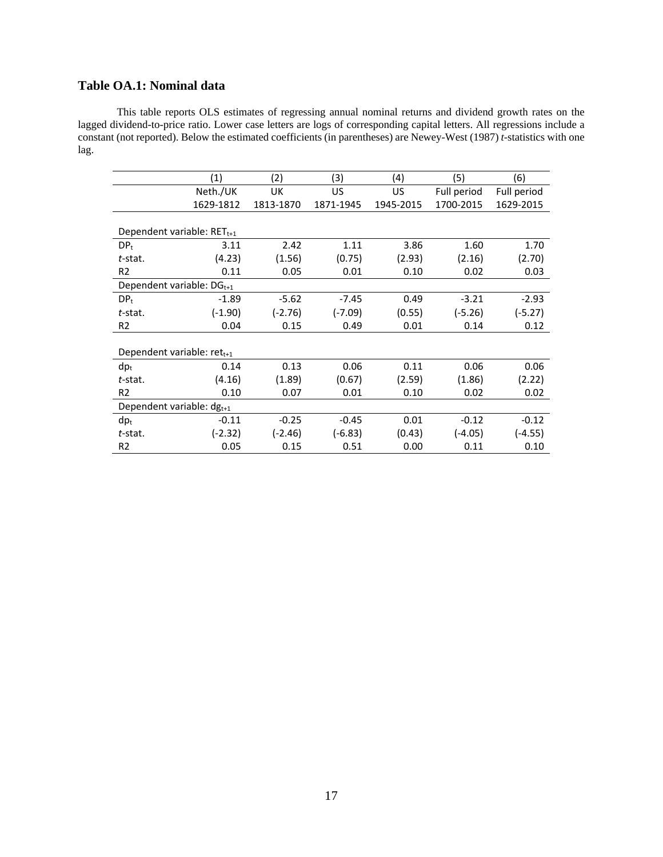# **Table OA.1: Nominal data**

This table reports OLS estimates of regressing annual nominal returns and dividend growth rates on the lagged dividend-to-price ratio. Lower case letters are logs of corresponding capital letters. All regressions include a constant (not reported). Below the estimated coefficients (in parentheses) are Newey-West (1987) *t*-statistics with one lag.

|                                       | (1)       | (2)       | (3)       | (4)       | (5)         | (6)         |
|---------------------------------------|-----------|-----------|-----------|-----------|-------------|-------------|
|                                       | Neth./UK  | UK        | US        | US        | Full period | Full period |
|                                       | 1629-1812 | 1813-1870 | 1871-1945 | 1945-2015 | 1700-2015   | 1629-2015   |
|                                       |           |           |           |           |             |             |
| Dependent variable: $RET_{t+1}$       |           |           |           |           |             |             |
| $DP_{t}$                              | 3.11      | 2.42      | 1.11      | 3.86      | 1.60        | 1.70        |
| $t$ -stat.                            | (4.23)    | (1.56)    | (0.75)    | (2.93)    | (2.16)      | (2.70)      |
| R <sub>2</sub>                        | 0.11      | 0.05      | 0.01      | 0.10      | 0.02        | 0.03        |
| Dependent variable: $DG_{t+1}$        |           |           |           |           |             |             |
| DP <sub>t</sub>                       | $-1.89$   | $-5.62$   | $-7.45$   | 0.49      | $-3.21$     | $-2.93$     |
| t-stat.                               | $(-1.90)$ | $(-2.76)$ | $(-7.09)$ | (0.55)    | $(-5.26)$   | $(-5.27)$   |
| R <sub>2</sub>                        | 0.04      | 0.15      | 0.49      | 0.01      | 0.14        | 0.12        |
|                                       |           |           |           |           |             |             |
| Dependent variable: $ret_{t+1}$       |           |           |           |           |             |             |
| $dp_t$                                | 0.14      | 0.13      | 0.06      | 0.11      | 0.06        | 0.06        |
| t-stat.                               | (4.16)    | (1.89)    | (0.67)    | (2.59)    | (1.86)      | (2.22)      |
| R <sub>2</sub>                        | 0.10      | 0.07      | 0.01      | 0.10      | 0.02        | 0.02        |
| Dependent variable: dg <sub>t+1</sub> |           |           |           |           |             |             |
| $dp_t$                                | $-0.11$   | $-0.25$   | $-0.45$   | 0.01      | $-0.12$     | $-0.12$     |
| t-stat.                               | $(-2.32)$ | $(-2.46)$ | $(-6.83)$ | (0.43)    | $(-4.05)$   | $(-4.55)$   |
| R <sub>2</sub>                        | 0.05      | 0.15      | 0.51      | 0.00      | 0.11        | 0.10        |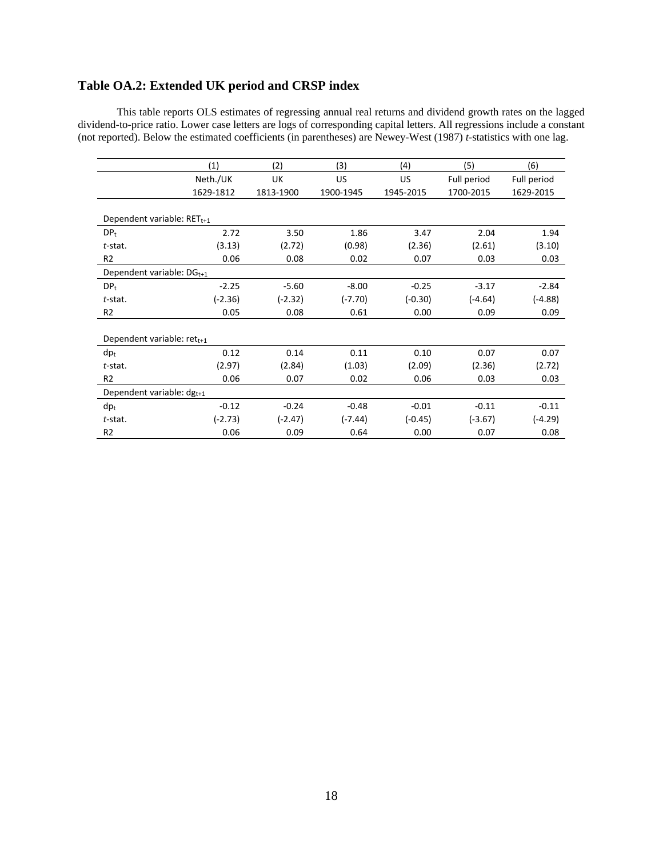# **Table OA.2: Extended UK period and CRSP index**

This table reports OLS estimates of regressing annual real returns and dividend growth rates on the lagged dividend-to-price ratio. Lower case letters are logs of corresponding capital letters. All regressions include a constant (not reported). Below the estimated coefficients (in parentheses) are Newey-West (1987) *t*-statistics with one lag.

|                                 | (1)       | (2)       | (3)       | (4)       | (5)         | (6)         |
|---------------------------------|-----------|-----------|-----------|-----------|-------------|-------------|
|                                 | Neth./UK  | UK        | US        | US.       | Full period | Full period |
|                                 | 1629-1812 | 1813-1900 | 1900-1945 | 1945-2015 | 1700-2015   | 1629-2015   |
|                                 |           |           |           |           |             |             |
| Dependent variable: $RET_{t+1}$ |           |           |           |           |             |             |
| DP <sub>t</sub>                 | 2.72      | 3.50      | 1.86      | 3.47      | 2.04        | 1.94        |
| $t$ -stat.                      | (3.13)    | (2.72)    | (0.98)    | (2.36)    | (2.61)      | (3.10)      |
| R <sub>2</sub>                  | 0.06      | 0.08      | 0.02      | 0.07      | 0.03        | 0.03        |
| Dependent variable: $DG_{t+1}$  |           |           |           |           |             |             |
| DP <sub>t</sub>                 | $-2.25$   | $-5.60$   | $-8.00$   | $-0.25$   | $-3.17$     | $-2.84$     |
| $t$ -stat.                      | $(-2.36)$ | $(-2.32)$ | $(-7.70)$ | $(-0.30)$ | $(-4.64)$   | $(-4.88)$   |
| R <sub>2</sub>                  | 0.05      | 0.08      | 0.61      | 0.00      | 0.09        | 0.09        |
|                                 |           |           |           |           |             |             |
| Dependent variable: $ret_{t+1}$ |           |           |           |           |             |             |
| $dp_t$                          | 0.12      | 0.14      | 0.11      | 0.10      | 0.07        | 0.07        |
| $t$ -stat.                      | (2.97)    | (2.84)    | (1.03)    | (2.09)    | (2.36)      | (2.72)      |
| R <sub>2</sub>                  | 0.06      | 0.07      | 0.02      | 0.06      | 0.03        | 0.03        |
| Dependent variable: $dg_{t+1}$  |           |           |           |           |             |             |
| $dp_t$                          | $-0.12$   | $-0.24$   | $-0.48$   | $-0.01$   | $-0.11$     | $-0.11$     |
| $t$ -stat.                      | $(-2.73)$ | $(-2.47)$ | $(-7.44)$ | $(-0.45)$ | $(-3.67)$   | $(-4.29)$   |
| R <sub>2</sub>                  | 0.06      | 0.09      | 0.64      | 0.00      | 0.07        | 0.08        |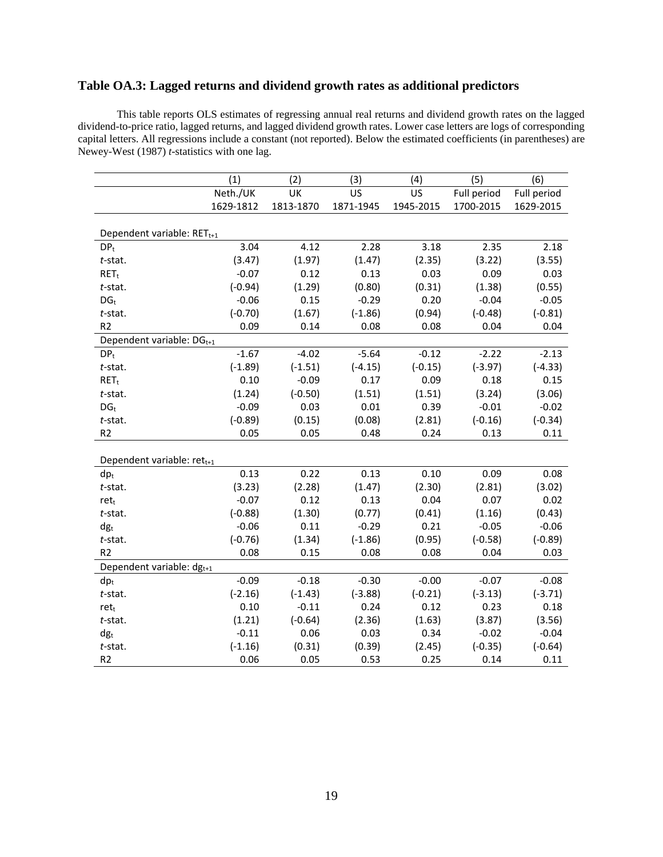## **Table OA.3: Lagged returns and dividend growth rates as additional predictors**

This table reports OLS estimates of regressing annual real returns and dividend growth rates on the lagged dividend-to-price ratio, lagged returns, and lagged dividend growth rates. Lower case letters are logs of corresponding capital letters. All regressions include a constant (not reported). Below the estimated coefficients (in parentheses) are Newey-West (1987) *t*-statistics with one lag.

|                                        | (1)       | (2)       | (3)       | (4)       | (5)         | (6)         |
|----------------------------------------|-----------|-----------|-----------|-----------|-------------|-------------|
|                                        | Neth./UK  | UK        | US        | US        | Full period | Full period |
|                                        | 1629-1812 | 1813-1870 | 1871-1945 | 1945-2015 | 1700-2015   | 1629-2015   |
|                                        |           |           |           |           |             |             |
| Dependent variable: RET <sub>t+1</sub> |           |           |           |           |             |             |
| $DP_t$                                 | 3.04      | 4.12      | 2.28      | 3.18      | 2.35        | 2.18        |
| t-stat.                                | (3.47)    | (1.97)    | (1.47)    | (2.35)    | (3.22)      | (3.55)      |
| $RET_t$                                | $-0.07$   | 0.12      | 0.13      | 0.03      | 0.09        | 0.03        |
| $t$ -stat.                             | $(-0.94)$ | (1.29)    | (0.80)    | (0.31)    | (1.38)      | (0.55)      |
| $DG_t$                                 | $-0.06$   | 0.15      | $-0.29$   | 0.20      | $-0.04$     | $-0.05$     |
| $t$ -stat.                             | $(-0.70)$ | (1.67)    | $(-1.86)$ | (0.94)    | $(-0.48)$   | $(-0.81)$   |
| R <sub>2</sub>                         | 0.09      | 0.14      | 0.08      | 0.08      | 0.04        | 0.04        |
| Dependent variable: DG <sub>t+1</sub>  |           |           |           |           |             |             |
| DP <sub>t</sub>                        | $-1.67$   | $-4.02$   | $-5.64$   | $-0.12$   | $-2.22$     | $-2.13$     |
| t-stat.                                | $(-1.89)$ | $(-1.51)$ | $(-4.15)$ | $(-0.15)$ | $(-3.97)$   | $(-4.33)$   |
| $RET_t$                                | 0.10      | $-0.09$   | 0.17      | 0.09      | 0.18        | 0.15        |
| t-stat.                                | (1.24)    | $(-0.50)$ | (1.51)    | (1.51)    | (3.24)      | (3.06)      |
| DG <sub>t</sub>                        | $-0.09$   | 0.03      | 0.01      | 0.39      | $-0.01$     | $-0.02$     |
| t-stat.                                | $(-0.89)$ | (0.15)    | (0.08)    | (2.81)    | $(-0.16)$   | $(-0.34)$   |
| R <sub>2</sub>                         | 0.05      | 0.05      | 0.48      | 0.24      | 0.13        | 0.11        |
|                                        |           |           |           |           |             |             |
| Dependent variable: ret <sub>t+1</sub> |           |           |           |           |             |             |
| $dp_t$                                 | 0.13      | 0.22      | 0.13      | 0.10      | 0.09        | 0.08        |
| t-stat.                                | (3.23)    | (2.28)    | (1.47)    | (2.30)    | (2.81)      | (3.02)      |
| ret <sub>t</sub>                       | $-0.07$   | 0.12      | 0.13      | 0.04      | 0.07        | 0.02        |
| t-stat.                                | $(-0.88)$ | (1.30)    | (0.77)    | (0.41)    | (1.16)      | (0.43)      |
| $dg_t$                                 | $-0.06$   | 0.11      | $-0.29$   | 0.21      | $-0.05$     | $-0.06$     |
| $t$ -stat.                             | $(-0.76)$ | (1.34)    | $(-1.86)$ | (0.95)    | $(-0.58)$   | $(-0.89)$   |
| R <sub>2</sub>                         | 0.08      | 0.15      | 0.08      | 0.08      | 0.04        | 0.03        |
| Dependent variable: dg <sub>t+1</sub>  |           |           |           |           |             |             |
| $dp_t$                                 | $-0.09$   | $-0.18$   | $-0.30$   | $-0.00$   | $-0.07$     | $-0.08$     |
| $t$ -stat.                             | $(-2.16)$ | $(-1.43)$ | $(-3.88)$ | $(-0.21)$ | $(-3.13)$   | $(-3.71)$   |
| ret <sub>t</sub>                       | 0.10      | $-0.11$   | 0.24      | 0.12      | 0.23        | 0.18        |
| $t$ -stat.                             | (1.21)    | $(-0.64)$ | (2.36)    | (1.63)    | (3.87)      | (3.56)      |
| $dg_t$                                 | $-0.11$   | 0.06      | 0.03      | 0.34      | $-0.02$     | $-0.04$     |
| t-stat.                                | $(-1.16)$ | (0.31)    | (0.39)    | (2.45)    | $(-0.35)$   | $(-0.64)$   |
| R <sub>2</sub>                         | 0.06      | 0.05      | 0.53      | 0.25      | 0.14        | 0.11        |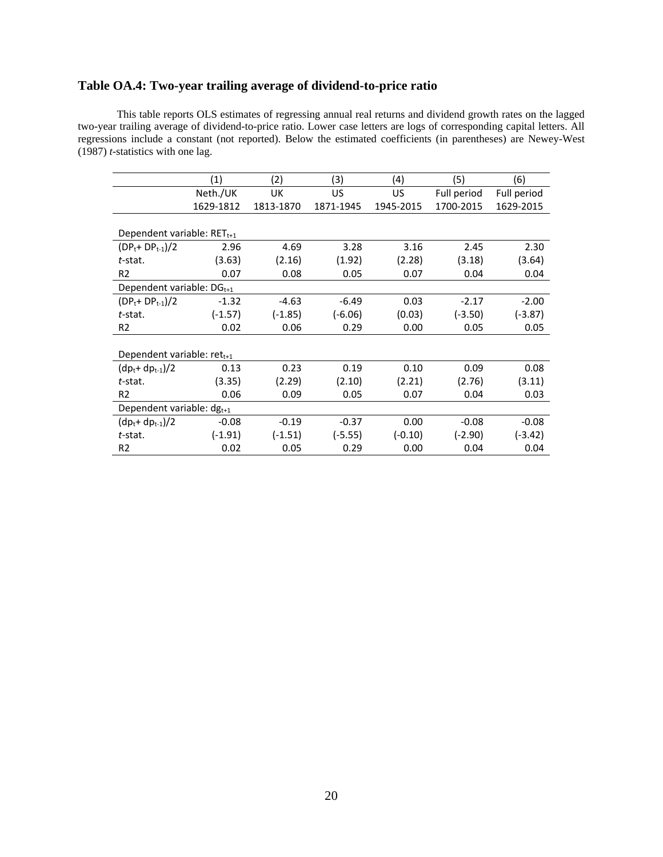## **Table OA.4: Two-year trailing average of dividend-to-price ratio**

This table reports OLS estimates of regressing annual real returns and dividend growth rates on the lagged two-year trailing average of dividend-to-price ratio. Lower case letters are logs of corresponding capital letters. All regressions include a constant (not reported). Below the estimated coefficients (in parentheses) are Newey-West (1987) *t*-statistics with one lag.

|                                 | (1)       | (2)       | (3)       | (4)       | (5)         | (6)         |
|---------------------------------|-----------|-----------|-----------|-----------|-------------|-------------|
|                                 | Neth./UK  | <b>UK</b> | US        | US        | Full period | Full period |
|                                 | 1629-1812 | 1813-1870 | 1871-1945 | 1945-2015 | 1700-2015   | 1629-2015   |
|                                 |           |           |           |           |             |             |
| Dependent variable: $RET_{t+1}$ |           |           |           |           |             |             |
| $(DP_t + DP_{t-1})/2$           | 2.96      | 4.69      | 3.28      | 3.16      | 2.45        | 2.30        |
| t-stat.                         | (3.63)    | (2.16)    | (1.92)    | (2.28)    | (3.18)      | (3.64)      |
| R <sub>2</sub>                  | 0.07      | 0.08      | 0.05      | 0.07      | 0.04        | 0.04        |
| Dependent variable: $DG_{t+1}$  |           |           |           |           |             |             |
| $(DP_t + DP_{t-1})/2$           | $-1.32$   | $-4.63$   | $-6.49$   | 0.03      | $-2.17$     | $-2.00$     |
| t-stat.                         | $(-1.57)$ | $(-1.85)$ | $(-6.06)$ | (0.03)    | $(-3.50)$   | $(-3.87)$   |
| R <sub>2</sub>                  | 0.02      | 0.06      | 0.29      | 0.00      | 0.05        | 0.05        |
|                                 |           |           |           |           |             |             |
| Dependent variable: $ret_{t+1}$ |           |           |           |           |             |             |
| $(dp_t + dp_{t-1})/2$           | 0.13      | 0.23      | 0.19      | 0.10      | 0.09        | 0.08        |
| t-stat.                         | (3.35)    | (2.29)    | (2.10)    | (2.21)    | (2.76)      | (3.11)      |
| R <sub>2</sub>                  | 0.06      | 0.09      | 0.05      | 0.07      | 0.04        | 0.03        |
| Dependent variable: $dg_{t+1}$  |           |           |           |           |             |             |
| $(dp_t + dp_{t-1})/2$           | $-0.08$   | $-0.19$   | $-0.37$   | 0.00      | $-0.08$     | $-0.08$     |
| t-stat.                         | $(-1.91)$ | $(-1.51)$ | $(-5.55)$ | $(-0.10)$ | $(-2.90)$   | $(-3.42)$   |
| R <sub>2</sub>                  | 0.02      | 0.05      | 0.29      | 0.00      | 0.04        | 0.04        |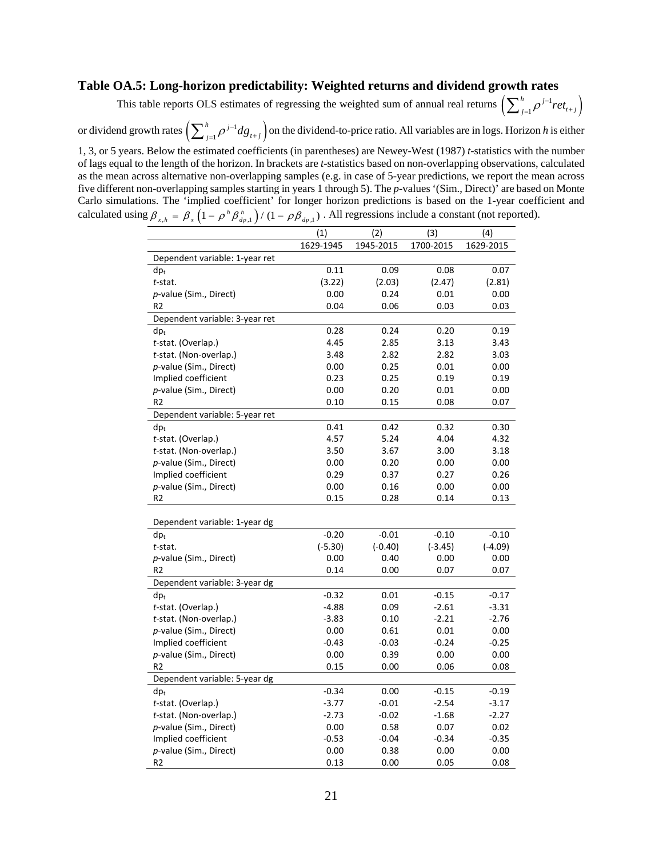### **Table OA.5: Long-horizon predictability: Weighted returns and dividend growth rates**

This table reports OLS estimates of regressing the weighted sum of annual real returns  $\left(\sum_{j=1}^n \rho^{j-1} ret_{t+j}\right)$  $\sum_{j=1}^h \rho^{j-1} ret_{t+j}$ 

or dividend growth rates  $\Bigl( \sum_{j=1}^n \rho^{j-1} dg_{t+j} \Bigr)$  $\sum_{j=1}^{h} \rho^{j-1} dg_{i+j}$  on the dividend-to-price ratio. All variables are in logs. Horizon *h* is either

1, 3, or 5 years. Below the estimated coefficients (in parentheses) are Newey-West (1987) *t*-statistics with the number of lags equal to the length of the horizon. In brackets are *t*-statistics based on non-overlapping observations, calculated as the mean across alternative non-overlapping samples (e.g. in case of 5-year predictions, we report the mean across five different non-overlapping samples starting in years 1 through 5). The *p*-values '(Sim., Direct)' are based on Monte Carlo simulations. The 'implied coefficient' for longer horizon predictions is based on the 1-year coefficient and calculated using  $\beta_{x,h} = \beta_x \left(1 - \rho^h \beta_{dp,1}^h\right) / (1 - \rho \beta_{dp,1})$ . All regressions include a constant (not reported).

| 1629-1945<br>1945-2015<br>1700-2015<br>1629-2015<br>Dependent variable: 1-year ret<br>0.11<br>0.09<br>0.08<br>0.07<br>$dp_t$<br>t-stat.<br>(3.22)<br>(2.03)<br>(2.47)<br>(2.81)<br>p-value (Sim., Direct)<br>0.00<br>0.24<br>0.01<br>0.00<br>R <sub>2</sub><br>0.04<br>0.06<br>0.03<br>0.03<br>Dependent variable: 3-year ret<br>0.28<br>0.24<br>$dp_t$<br>0.20<br>0.19<br>t-stat. (Overlap.)<br>4.45<br>2.85<br>3.13<br>3.43<br>2.82<br>3.03<br>t-stat. (Non-overlap.)<br>3.48<br>2.82<br>p-value (Sim., Direct)<br>0.00<br>0.25<br>0.01<br>0.00<br>Implied coefficient<br>0.23<br>0.25<br>0.19<br>0.19<br>p-value (Sim., Direct)<br>0.00<br>0.20<br>0.01<br>0.00<br>R <sub>2</sub><br>0.10<br>0.15<br>0.08<br>0.07<br>Dependent variable: 5-year ret<br>0.32<br>0.41<br>0.42<br>0.30<br>$dp_t$<br>4.57<br>5.24<br>4.32<br>t-stat. (Overlap.)<br>4.04<br>3.50<br>3.00<br>3.18<br>t-stat. (Non-overlap.)<br>3.67<br>p-value (Sim., Direct)<br>0.00<br>0.20<br>0.00<br>0.00<br>Implied coefficient<br>0.26<br>0.29<br>0.37<br>0.27<br>0.00<br>0.00<br>p-value (Sim., Direct)<br>0.16<br>0.00<br>R <sub>2</sub><br>0.15<br>0.28<br>0.14<br>0.13<br>Dependent variable: 1-year dg<br>$-0.20$<br>$-0.01$<br>$-0.10$<br>$-0.10$<br>$dp_t$<br>$(-5.30)$<br>$(-0.40)$<br>$(-4.09)$<br>t-stat.<br>$(-3.45)$<br>0.00<br>p-value (Sim., Direct)<br>0.00<br>0.40<br>0.00<br>0.14<br>0.00<br>0.07<br>0.07<br>R2<br>Dependent variable: 3-year dg<br>$-0.32$<br>0.01<br>$-0.15$<br>$-0.17$<br>$dp_t$<br>t-stat. (Overlap.)<br>$-4.88$<br>0.09<br>$-2.61$<br>$-3.31$<br>$-2.21$<br>$-2.76$<br>t-stat. (Non-overlap.)<br>$-3.83$<br>0.10<br>0.00<br>p-value (Sim., Direct)<br>0.00<br>0.61<br>0.01<br>Implied coefficient<br>$-0.24$<br>$-0.43$<br>$-0.03$<br>$-0.25$<br>0.00<br>0.39<br>0.00<br>0.00<br>p-value (Sim., Direct)<br>R <sub>2</sub><br>0.15<br>0.00<br>0.06<br>0.08<br>Dependent variable: 5-year dg<br>$-0.34$<br>$dp_t$<br>0.00<br>$-0.15$<br>$-0.19$<br>t-stat. (Overlap.)<br>$-3.77$<br>$-2.54$<br>$-0.01$<br>$-3.17$<br>t-stat. (Non-overlap.)<br>$-2.73$<br>$-0.02$<br>$-1.68$<br>$-2.27$<br>p-value (Sim., Direct)<br>0.00<br>0.58<br>0.07<br>0.02<br>Implied coefficient<br>$-0.35$<br>$-0.53$<br>$-0.04$<br>$-0.34$<br>0.00<br>0.00<br>p-value (Sim., Direct)<br>0.38<br>0.00<br>R2<br>0.13<br>0.00<br>0.05<br>0.08 | (1) | (2) | (3) | (4) |
|-----------------------------------------------------------------------------------------------------------------------------------------------------------------------------------------------------------------------------------------------------------------------------------------------------------------------------------------------------------------------------------------------------------------------------------------------------------------------------------------------------------------------------------------------------------------------------------------------------------------------------------------------------------------------------------------------------------------------------------------------------------------------------------------------------------------------------------------------------------------------------------------------------------------------------------------------------------------------------------------------------------------------------------------------------------------------------------------------------------------------------------------------------------------------------------------------------------------------------------------------------------------------------------------------------------------------------------------------------------------------------------------------------------------------------------------------------------------------------------------------------------------------------------------------------------------------------------------------------------------------------------------------------------------------------------------------------------------------------------------------------------------------------------------------------------------------------------------------------------------------------------------------------------------------------------------------------------------------------------------------------------------------------------------------------------------------------------------------------------------------------------------------------------------------------------------------------------------------------------------------------------------------------------------------------------------------------|-----|-----|-----|-----|
|                                                                                                                                                                                                                                                                                                                                                                                                                                                                                                                                                                                                                                                                                                                                                                                                                                                                                                                                                                                                                                                                                                                                                                                                                                                                                                                                                                                                                                                                                                                                                                                                                                                                                                                                                                                                                                                                                                                                                                                                                                                                                                                                                                                                                                                                                                                             |     |     |     |     |
|                                                                                                                                                                                                                                                                                                                                                                                                                                                                                                                                                                                                                                                                                                                                                                                                                                                                                                                                                                                                                                                                                                                                                                                                                                                                                                                                                                                                                                                                                                                                                                                                                                                                                                                                                                                                                                                                                                                                                                                                                                                                                                                                                                                                                                                                                                                             |     |     |     |     |
|                                                                                                                                                                                                                                                                                                                                                                                                                                                                                                                                                                                                                                                                                                                                                                                                                                                                                                                                                                                                                                                                                                                                                                                                                                                                                                                                                                                                                                                                                                                                                                                                                                                                                                                                                                                                                                                                                                                                                                                                                                                                                                                                                                                                                                                                                                                             |     |     |     |     |
|                                                                                                                                                                                                                                                                                                                                                                                                                                                                                                                                                                                                                                                                                                                                                                                                                                                                                                                                                                                                                                                                                                                                                                                                                                                                                                                                                                                                                                                                                                                                                                                                                                                                                                                                                                                                                                                                                                                                                                                                                                                                                                                                                                                                                                                                                                                             |     |     |     |     |
|                                                                                                                                                                                                                                                                                                                                                                                                                                                                                                                                                                                                                                                                                                                                                                                                                                                                                                                                                                                                                                                                                                                                                                                                                                                                                                                                                                                                                                                                                                                                                                                                                                                                                                                                                                                                                                                                                                                                                                                                                                                                                                                                                                                                                                                                                                                             |     |     |     |     |
|                                                                                                                                                                                                                                                                                                                                                                                                                                                                                                                                                                                                                                                                                                                                                                                                                                                                                                                                                                                                                                                                                                                                                                                                                                                                                                                                                                                                                                                                                                                                                                                                                                                                                                                                                                                                                                                                                                                                                                                                                                                                                                                                                                                                                                                                                                                             |     |     |     |     |
|                                                                                                                                                                                                                                                                                                                                                                                                                                                                                                                                                                                                                                                                                                                                                                                                                                                                                                                                                                                                                                                                                                                                                                                                                                                                                                                                                                                                                                                                                                                                                                                                                                                                                                                                                                                                                                                                                                                                                                                                                                                                                                                                                                                                                                                                                                                             |     |     |     |     |
|                                                                                                                                                                                                                                                                                                                                                                                                                                                                                                                                                                                                                                                                                                                                                                                                                                                                                                                                                                                                                                                                                                                                                                                                                                                                                                                                                                                                                                                                                                                                                                                                                                                                                                                                                                                                                                                                                                                                                                                                                                                                                                                                                                                                                                                                                                                             |     |     |     |     |
|                                                                                                                                                                                                                                                                                                                                                                                                                                                                                                                                                                                                                                                                                                                                                                                                                                                                                                                                                                                                                                                                                                                                                                                                                                                                                                                                                                                                                                                                                                                                                                                                                                                                                                                                                                                                                                                                                                                                                                                                                                                                                                                                                                                                                                                                                                                             |     |     |     |     |
|                                                                                                                                                                                                                                                                                                                                                                                                                                                                                                                                                                                                                                                                                                                                                                                                                                                                                                                                                                                                                                                                                                                                                                                                                                                                                                                                                                                                                                                                                                                                                                                                                                                                                                                                                                                                                                                                                                                                                                                                                                                                                                                                                                                                                                                                                                                             |     |     |     |     |
|                                                                                                                                                                                                                                                                                                                                                                                                                                                                                                                                                                                                                                                                                                                                                                                                                                                                                                                                                                                                                                                                                                                                                                                                                                                                                                                                                                                                                                                                                                                                                                                                                                                                                                                                                                                                                                                                                                                                                                                                                                                                                                                                                                                                                                                                                                                             |     |     |     |     |
|                                                                                                                                                                                                                                                                                                                                                                                                                                                                                                                                                                                                                                                                                                                                                                                                                                                                                                                                                                                                                                                                                                                                                                                                                                                                                                                                                                                                                                                                                                                                                                                                                                                                                                                                                                                                                                                                                                                                                                                                                                                                                                                                                                                                                                                                                                                             |     |     |     |     |
|                                                                                                                                                                                                                                                                                                                                                                                                                                                                                                                                                                                                                                                                                                                                                                                                                                                                                                                                                                                                                                                                                                                                                                                                                                                                                                                                                                                                                                                                                                                                                                                                                                                                                                                                                                                                                                                                                                                                                                                                                                                                                                                                                                                                                                                                                                                             |     |     |     |     |
|                                                                                                                                                                                                                                                                                                                                                                                                                                                                                                                                                                                                                                                                                                                                                                                                                                                                                                                                                                                                                                                                                                                                                                                                                                                                                                                                                                                                                                                                                                                                                                                                                                                                                                                                                                                                                                                                                                                                                                                                                                                                                                                                                                                                                                                                                                                             |     |     |     |     |
|                                                                                                                                                                                                                                                                                                                                                                                                                                                                                                                                                                                                                                                                                                                                                                                                                                                                                                                                                                                                                                                                                                                                                                                                                                                                                                                                                                                                                                                                                                                                                                                                                                                                                                                                                                                                                                                                                                                                                                                                                                                                                                                                                                                                                                                                                                                             |     |     |     |     |
|                                                                                                                                                                                                                                                                                                                                                                                                                                                                                                                                                                                                                                                                                                                                                                                                                                                                                                                                                                                                                                                                                                                                                                                                                                                                                                                                                                                                                                                                                                                                                                                                                                                                                                                                                                                                                                                                                                                                                                                                                                                                                                                                                                                                                                                                                                                             |     |     |     |     |
|                                                                                                                                                                                                                                                                                                                                                                                                                                                                                                                                                                                                                                                                                                                                                                                                                                                                                                                                                                                                                                                                                                                                                                                                                                                                                                                                                                                                                                                                                                                                                                                                                                                                                                                                                                                                                                                                                                                                                                                                                                                                                                                                                                                                                                                                                                                             |     |     |     |     |
|                                                                                                                                                                                                                                                                                                                                                                                                                                                                                                                                                                                                                                                                                                                                                                                                                                                                                                                                                                                                                                                                                                                                                                                                                                                                                                                                                                                                                                                                                                                                                                                                                                                                                                                                                                                                                                                                                                                                                                                                                                                                                                                                                                                                                                                                                                                             |     |     |     |     |
|                                                                                                                                                                                                                                                                                                                                                                                                                                                                                                                                                                                                                                                                                                                                                                                                                                                                                                                                                                                                                                                                                                                                                                                                                                                                                                                                                                                                                                                                                                                                                                                                                                                                                                                                                                                                                                                                                                                                                                                                                                                                                                                                                                                                                                                                                                                             |     |     |     |     |
|                                                                                                                                                                                                                                                                                                                                                                                                                                                                                                                                                                                                                                                                                                                                                                                                                                                                                                                                                                                                                                                                                                                                                                                                                                                                                                                                                                                                                                                                                                                                                                                                                                                                                                                                                                                                                                                                                                                                                                                                                                                                                                                                                                                                                                                                                                                             |     |     |     |     |
|                                                                                                                                                                                                                                                                                                                                                                                                                                                                                                                                                                                                                                                                                                                                                                                                                                                                                                                                                                                                                                                                                                                                                                                                                                                                                                                                                                                                                                                                                                                                                                                                                                                                                                                                                                                                                                                                                                                                                                                                                                                                                                                                                                                                                                                                                                                             |     |     |     |     |
|                                                                                                                                                                                                                                                                                                                                                                                                                                                                                                                                                                                                                                                                                                                                                                                                                                                                                                                                                                                                                                                                                                                                                                                                                                                                                                                                                                                                                                                                                                                                                                                                                                                                                                                                                                                                                                                                                                                                                                                                                                                                                                                                                                                                                                                                                                                             |     |     |     |     |
|                                                                                                                                                                                                                                                                                                                                                                                                                                                                                                                                                                                                                                                                                                                                                                                                                                                                                                                                                                                                                                                                                                                                                                                                                                                                                                                                                                                                                                                                                                                                                                                                                                                                                                                                                                                                                                                                                                                                                                                                                                                                                                                                                                                                                                                                                                                             |     |     |     |     |
|                                                                                                                                                                                                                                                                                                                                                                                                                                                                                                                                                                                                                                                                                                                                                                                                                                                                                                                                                                                                                                                                                                                                                                                                                                                                                                                                                                                                                                                                                                                                                                                                                                                                                                                                                                                                                                                                                                                                                                                                                                                                                                                                                                                                                                                                                                                             |     |     |     |     |
|                                                                                                                                                                                                                                                                                                                                                                                                                                                                                                                                                                                                                                                                                                                                                                                                                                                                                                                                                                                                                                                                                                                                                                                                                                                                                                                                                                                                                                                                                                                                                                                                                                                                                                                                                                                                                                                                                                                                                                                                                                                                                                                                                                                                                                                                                                                             |     |     |     |     |
|                                                                                                                                                                                                                                                                                                                                                                                                                                                                                                                                                                                                                                                                                                                                                                                                                                                                                                                                                                                                                                                                                                                                                                                                                                                                                                                                                                                                                                                                                                                                                                                                                                                                                                                                                                                                                                                                                                                                                                                                                                                                                                                                                                                                                                                                                                                             |     |     |     |     |
|                                                                                                                                                                                                                                                                                                                                                                                                                                                                                                                                                                                                                                                                                                                                                                                                                                                                                                                                                                                                                                                                                                                                                                                                                                                                                                                                                                                                                                                                                                                                                                                                                                                                                                                                                                                                                                                                                                                                                                                                                                                                                                                                                                                                                                                                                                                             |     |     |     |     |
|                                                                                                                                                                                                                                                                                                                                                                                                                                                                                                                                                                                                                                                                                                                                                                                                                                                                                                                                                                                                                                                                                                                                                                                                                                                                                                                                                                                                                                                                                                                                                                                                                                                                                                                                                                                                                                                                                                                                                                                                                                                                                                                                                                                                                                                                                                                             |     |     |     |     |
|                                                                                                                                                                                                                                                                                                                                                                                                                                                                                                                                                                                                                                                                                                                                                                                                                                                                                                                                                                                                                                                                                                                                                                                                                                                                                                                                                                                                                                                                                                                                                                                                                                                                                                                                                                                                                                                                                                                                                                                                                                                                                                                                                                                                                                                                                                                             |     |     |     |     |
|                                                                                                                                                                                                                                                                                                                                                                                                                                                                                                                                                                                                                                                                                                                                                                                                                                                                                                                                                                                                                                                                                                                                                                                                                                                                                                                                                                                                                                                                                                                                                                                                                                                                                                                                                                                                                                                                                                                                                                                                                                                                                                                                                                                                                                                                                                                             |     |     |     |     |
|                                                                                                                                                                                                                                                                                                                                                                                                                                                                                                                                                                                                                                                                                                                                                                                                                                                                                                                                                                                                                                                                                                                                                                                                                                                                                                                                                                                                                                                                                                                                                                                                                                                                                                                                                                                                                                                                                                                                                                                                                                                                                                                                                                                                                                                                                                                             |     |     |     |     |
|                                                                                                                                                                                                                                                                                                                                                                                                                                                                                                                                                                                                                                                                                                                                                                                                                                                                                                                                                                                                                                                                                                                                                                                                                                                                                                                                                                                                                                                                                                                                                                                                                                                                                                                                                                                                                                                                                                                                                                                                                                                                                                                                                                                                                                                                                                                             |     |     |     |     |
|                                                                                                                                                                                                                                                                                                                                                                                                                                                                                                                                                                                                                                                                                                                                                                                                                                                                                                                                                                                                                                                                                                                                                                                                                                                                                                                                                                                                                                                                                                                                                                                                                                                                                                                                                                                                                                                                                                                                                                                                                                                                                                                                                                                                                                                                                                                             |     |     |     |     |
|                                                                                                                                                                                                                                                                                                                                                                                                                                                                                                                                                                                                                                                                                                                                                                                                                                                                                                                                                                                                                                                                                                                                                                                                                                                                                                                                                                                                                                                                                                                                                                                                                                                                                                                                                                                                                                                                                                                                                                                                                                                                                                                                                                                                                                                                                                                             |     |     |     |     |
|                                                                                                                                                                                                                                                                                                                                                                                                                                                                                                                                                                                                                                                                                                                                                                                                                                                                                                                                                                                                                                                                                                                                                                                                                                                                                                                                                                                                                                                                                                                                                                                                                                                                                                                                                                                                                                                                                                                                                                                                                                                                                                                                                                                                                                                                                                                             |     |     |     |     |
|                                                                                                                                                                                                                                                                                                                                                                                                                                                                                                                                                                                                                                                                                                                                                                                                                                                                                                                                                                                                                                                                                                                                                                                                                                                                                                                                                                                                                                                                                                                                                                                                                                                                                                                                                                                                                                                                                                                                                                                                                                                                                                                                                                                                                                                                                                                             |     |     |     |     |
|                                                                                                                                                                                                                                                                                                                                                                                                                                                                                                                                                                                                                                                                                                                                                                                                                                                                                                                                                                                                                                                                                                                                                                                                                                                                                                                                                                                                                                                                                                                                                                                                                                                                                                                                                                                                                                                                                                                                                                                                                                                                                                                                                                                                                                                                                                                             |     |     |     |     |
|                                                                                                                                                                                                                                                                                                                                                                                                                                                                                                                                                                                                                                                                                                                                                                                                                                                                                                                                                                                                                                                                                                                                                                                                                                                                                                                                                                                                                                                                                                                                                                                                                                                                                                                                                                                                                                                                                                                                                                                                                                                                                                                                                                                                                                                                                                                             |     |     |     |     |
|                                                                                                                                                                                                                                                                                                                                                                                                                                                                                                                                                                                                                                                                                                                                                                                                                                                                                                                                                                                                                                                                                                                                                                                                                                                                                                                                                                                                                                                                                                                                                                                                                                                                                                                                                                                                                                                                                                                                                                                                                                                                                                                                                                                                                                                                                                                             |     |     |     |     |
|                                                                                                                                                                                                                                                                                                                                                                                                                                                                                                                                                                                                                                                                                                                                                                                                                                                                                                                                                                                                                                                                                                                                                                                                                                                                                                                                                                                                                                                                                                                                                                                                                                                                                                                                                                                                                                                                                                                                                                                                                                                                                                                                                                                                                                                                                                                             |     |     |     |     |
|                                                                                                                                                                                                                                                                                                                                                                                                                                                                                                                                                                                                                                                                                                                                                                                                                                                                                                                                                                                                                                                                                                                                                                                                                                                                                                                                                                                                                                                                                                                                                                                                                                                                                                                                                                                                                                                                                                                                                                                                                                                                                                                                                                                                                                                                                                                             |     |     |     |     |
|                                                                                                                                                                                                                                                                                                                                                                                                                                                                                                                                                                                                                                                                                                                                                                                                                                                                                                                                                                                                                                                                                                                                                                                                                                                                                                                                                                                                                                                                                                                                                                                                                                                                                                                                                                                                                                                                                                                                                                                                                                                                                                                                                                                                                                                                                                                             |     |     |     |     |
|                                                                                                                                                                                                                                                                                                                                                                                                                                                                                                                                                                                                                                                                                                                                                                                                                                                                                                                                                                                                                                                                                                                                                                                                                                                                                                                                                                                                                                                                                                                                                                                                                                                                                                                                                                                                                                                                                                                                                                                                                                                                                                                                                                                                                                                                                                                             |     |     |     |     |
|                                                                                                                                                                                                                                                                                                                                                                                                                                                                                                                                                                                                                                                                                                                                                                                                                                                                                                                                                                                                                                                                                                                                                                                                                                                                                                                                                                                                                                                                                                                                                                                                                                                                                                                                                                                                                                                                                                                                                                                                                                                                                                                                                                                                                                                                                                                             |     |     |     |     |